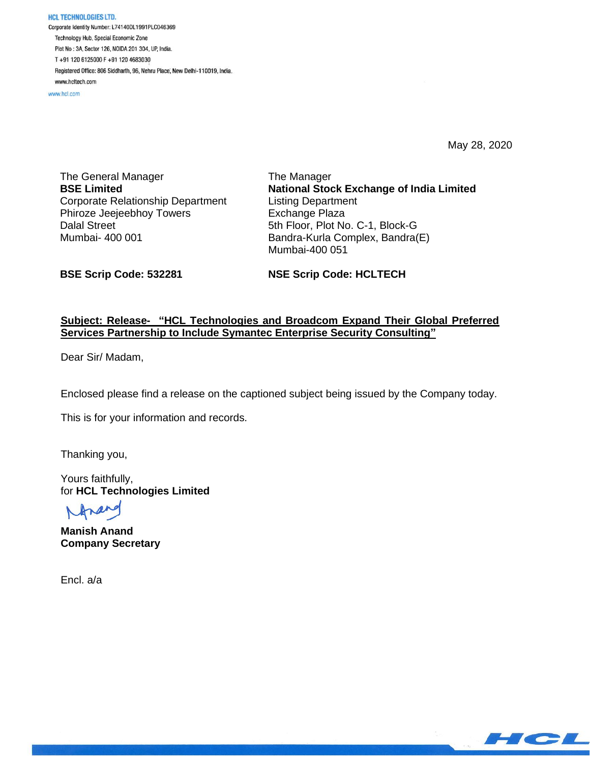HCL TECHNOLOGIES LTD. Corporate Identity Number: L74140DL1991PLC046369 Technology Hub, Special Economic Zone Plot No: 3A, Sector 126, NOIDA 201 304, UP, India. T+91 120 6125000 F+91 120 4683030 Registered Office: 806 Siddharth, 96, Nehru Place, New Delhi-110019, India. www.hcltech.com

www.hcl.com

May 28, 2020

The General Manager **BSE Limited** Corporate Relationship Department Phiroze Jeejeebhoy Towers Dalal Street Mumbai- 400 001

The Manager **National Stock Exchange of India Limited** Listing Department Exchange Plaza 5th Floor, Plot No. C-1, Block-G Bandra-Kurla Complex, Bandra(E) Mumbai-400 051

**BSE Scrip Code: 532281**

**NSE Scrip Code: HCLTECH**

## **Subject: Release- "HCL Technologies and Broadcom Expand Their Global Preferred Services Partnership to Include Symantec Enterprise Security Consulting"**

Dear Sir/ Madam,

Enclosed please find a release on the captioned subject being issued by the Company today.

This is for your information and records.

Thanking you,

Yours faithfully, for **HCL Technologies Limited**

**Manish Anand Company Secretary**

Encl. a/a

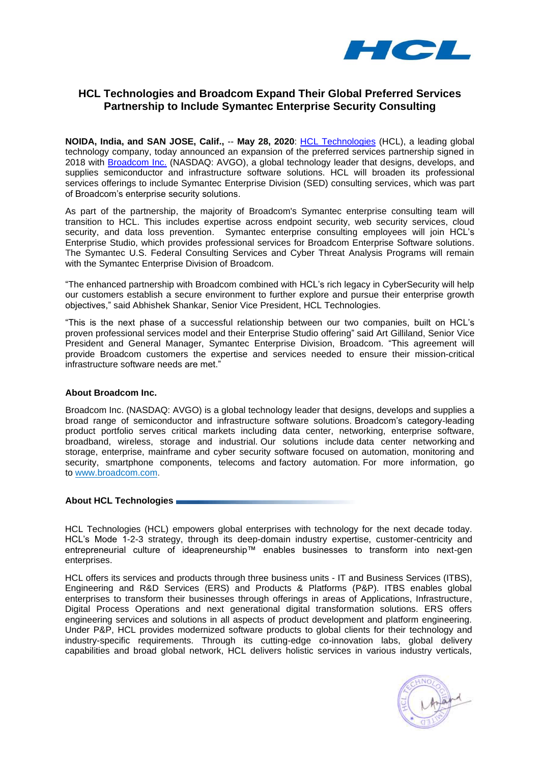

# **HCL Technologies and Broadcom Expand Their Global Preferred Services Partnership to Include Symantec Enterprise Security Consulting**

**NOIDA, India, and SAN JOSE, Calif.,** -- **May 28, 2020**: [HCL Technologies](https://www.hcltech.com/) (HCL), a leading global technology company, today announced an expansion of the preferred services partnership signed in 2018 with [Broadcom Inc.](https://www.broadcom.com/) (NASDAQ: AVGO), a global technology leader that designs, develops, and supplies semiconductor and infrastructure software solutions. HCL will broaden its professional services offerings to include Symantec Enterprise Division (SED) consulting services, which was part of Broadcom's enterprise security solutions.

As part of the partnership, the majority of Broadcom's Symantec enterprise consulting team will transition to HCL. This includes expertise across endpoint security, web security services, cloud security, and data loss prevention. Symantec enterprise consulting employees will join HCL's Enterprise Studio, which provides professional services for Broadcom Enterprise Software solutions. The Symantec U.S. Federal Consulting Services and Cyber Threat Analysis Programs will remain with the Symantec Enterprise Division of Broadcom.

"The enhanced partnership with Broadcom combined with HCL's rich legacy in CyberSecurity will help our customers establish a secure environment to further explore and pursue their enterprise growth objectives," said Abhishek Shankar, Senior Vice President, HCL Technologies.

"This is the next phase of a successful relationship between our two companies, built on HCL's proven professional services model and their Enterprise Studio offering" said Art Gilliland, Senior Vice President and General Manager, Symantec Enterprise Division, Broadcom. "This agreement will provide Broadcom customers the expertise and services needed to ensure their mission-critical infrastructure software needs are met."

## **About Broadcom Inc.**

Broadcom Inc. (NASDAQ: AVGO) is a global technology leader that designs, develops and supplies a broad range of semiconductor and infrastructure software solutions. Broadcom's category-leading product portfolio serves critical markets including data center, networking, enterprise software, broadband, wireless, storage and industrial. Our solutions include data center networking and storage, enterprise, mainframe and cyber security software focused on automation, monitoring and security, smartphone components, telecoms and factory automation. For more information, go to [www.broadcom.com.](https://www.globenewswire.com/Tracker?data=vlxsFpiXvlQZHndMwadq44wEP-Is9H0xZvLPx_Ag4C0QXJbPRkOSgdf-ObKiLwHuQKAP7_GuE0UjWnWJVFkNHsulYLZ9qE4RA2XpXJ97dFNFwcnnwrKTozjtAjtFffn4IE0qeJvgXevIFGq_d4UL5Q7RQsmhUI8PIosCaNftHlwPU6668FwD2hsfyrdGoXwh_MdP5Ms5kgjO5X0Gr4RUZp2VTwCM9QXqlLnofy1m2u4=)

### **About HCL Technologies**

HCL Technologies (HCL) empowers global enterprises with technology for the next decade today. HCL's Mode 1-2-3 strategy, through its deep-domain industry expertise, customer-centricity and entrepreneurial culture of ideapreneurship™ enables businesses to transform into next-gen enterprises.

HCL offers its services and products through three business units - IT and Business Services (ITBS), Engineering and R&D Services (ERS) and Products & Platforms (P&P). ITBS enables global enterprises to transform their businesses through offerings in areas of Applications, Infrastructure, Digital Process Operations and next generational digital transformation solutions. ERS offers engineering services and solutions in all aspects of product development and platform engineering. Under P&P, HCL provides modernized software products to global clients for their technology and industry-specific requirements. Through its cutting-edge co-innovation labs, global delivery capabilities and broad global network, HCL delivers holistic services in various industry verticals,